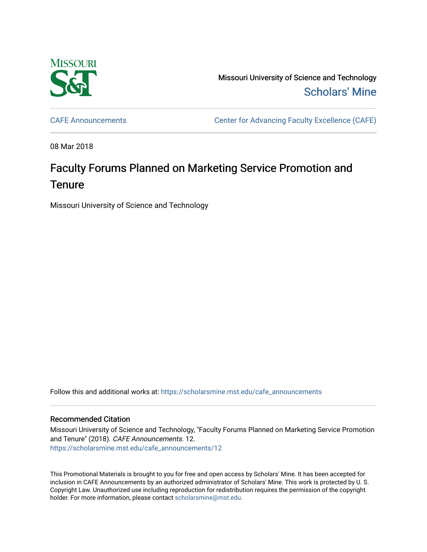

Missouri University of Science and Technology [Scholars' Mine](https://scholarsmine.mst.edu/) 

[CAFE Announcements](https://scholarsmine.mst.edu/cafe_announcements) [Center for Advancing Faculty Excellence \(CAFE\)](https://scholarsmine.mst.edu/cafe) 

08 Mar 2018

## Faculty Forums Planned on Marketing Service Promotion and **Tenure**

Missouri University of Science and Technology

Follow this and additional works at: [https://scholarsmine.mst.edu/cafe\\_announcements](https://scholarsmine.mst.edu/cafe_announcements?utm_source=scholarsmine.mst.edu%2Fcafe_announcements%2F12&utm_medium=PDF&utm_campaign=PDFCoverPages) 

## Recommended Citation

Missouri University of Science and Technology, "Faculty Forums Planned on Marketing Service Promotion and Tenure" (2018). CAFE Announcements. 12. [https://scholarsmine.mst.edu/cafe\\_announcements/12](https://scholarsmine.mst.edu/cafe_announcements/12?utm_source=scholarsmine.mst.edu%2Fcafe_announcements%2F12&utm_medium=PDF&utm_campaign=PDFCoverPages)

This Promotional Materials is brought to you for free and open access by Scholars' Mine. It has been accepted for inclusion in CAFE Announcements by an authorized administrator of Scholars' Mine. This work is protected by U. S. Copyright Law. Unauthorized use including reproduction for redistribution requires the permission of the copyright holder. For more information, please contact [scholarsmine@mst.edu.](mailto:scholarsmine@mst.edu)